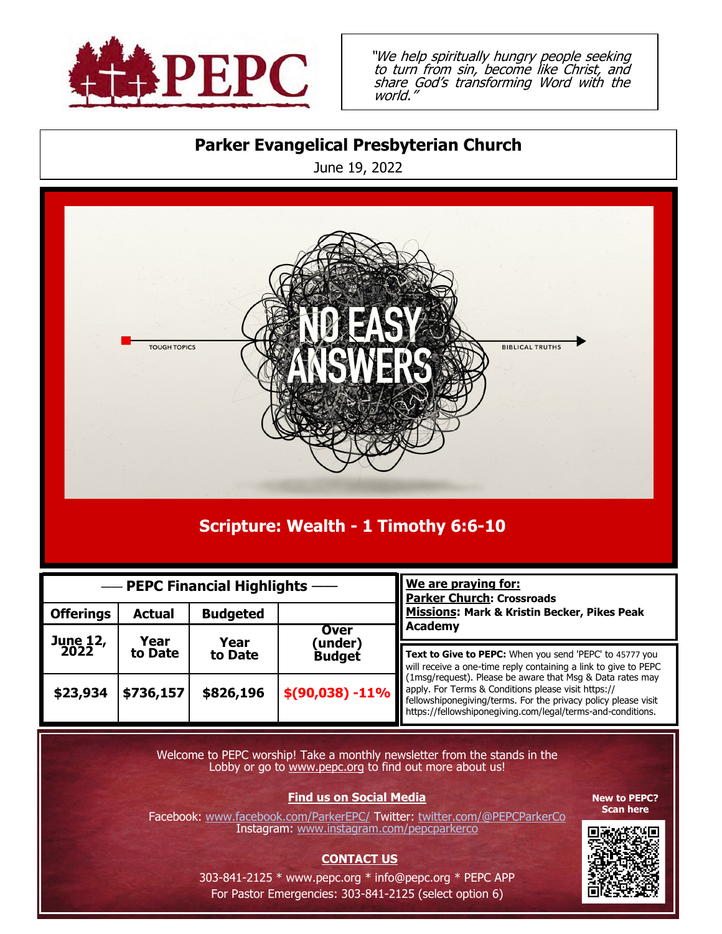

"We help spiritually hungry people seeking to turn from sin, become like Christ, and share God's transforming Word with the world."

## **Parker Evangelical Presbyterian Church**

June 19, 2022



# **Scripture: Wealth - 1 Timothy 6:6-10**

| - PEPC Financial Highlights - |                 |                 |                                        | We are praying for:<br><b>Parker Church: Crossroads</b>                                                                                                                                                                                                                                                                                                                                           |
|-------------------------------|-----------------|-----------------|----------------------------------------|---------------------------------------------------------------------------------------------------------------------------------------------------------------------------------------------------------------------------------------------------------------------------------------------------------------------------------------------------------------------------------------------------|
| <b>Offerings</b>              | <b>Actual</b>   | <b>Budgeted</b> |                                        | <b>Missions: Mark &amp; Kristin Becker, Pikes Peak</b><br>Academy                                                                                                                                                                                                                                                                                                                                 |
| June 12,<br>2022              | Year<br>to Date | Year<br>to Date | <b>Over</b><br>(under<br><b>Budget</b> |                                                                                                                                                                                                                                                                                                                                                                                                   |
|                               |                 |                 |                                        | Text to Give to PEPC: When you send 'PEPC' to 45777 you<br>will receive a one-time reply containing a link to give to PEPC<br>(1msg/request). Please be aware that Msg & Data rates may<br>\$(90,038) -11%   apply. For Terms & Conditions please visit https://<br>fellowshiponegiving/terms. For the privacy policy please visit<br>https://fellowshiponegiving.com/legal/terms-and-conditions. |
| \$23,934                      | \$736,157       | \$826,196       |                                        |                                                                                                                                                                                                                                                                                                                                                                                                   |

Welcome to PEPC worship! Take a monthly newsletter from the stands in the Lobby or go to www.pepc.org to find out more about us!

#### **Find us on Social Media**

Facebook: [www.facebook.com/ParkerEPC/](http://www.facebook.com/ParkerEPC/) Twitter: twitter.com/@PEPCParkerCo Instagram: [www.instagram.com/pepcparkerco](http://www.instagram.com/pepcparkerco)

#### **CONTACT US**

**New to PEPC? Scan here**



303-841-2125 \* [www.pepc.org \\*](http://www.pepc.org/) [info@pepc.org \\*](mailto:info@pepc.org) PEPC APP For Pastor Emergencies: 303-841-2125 (select option 6)